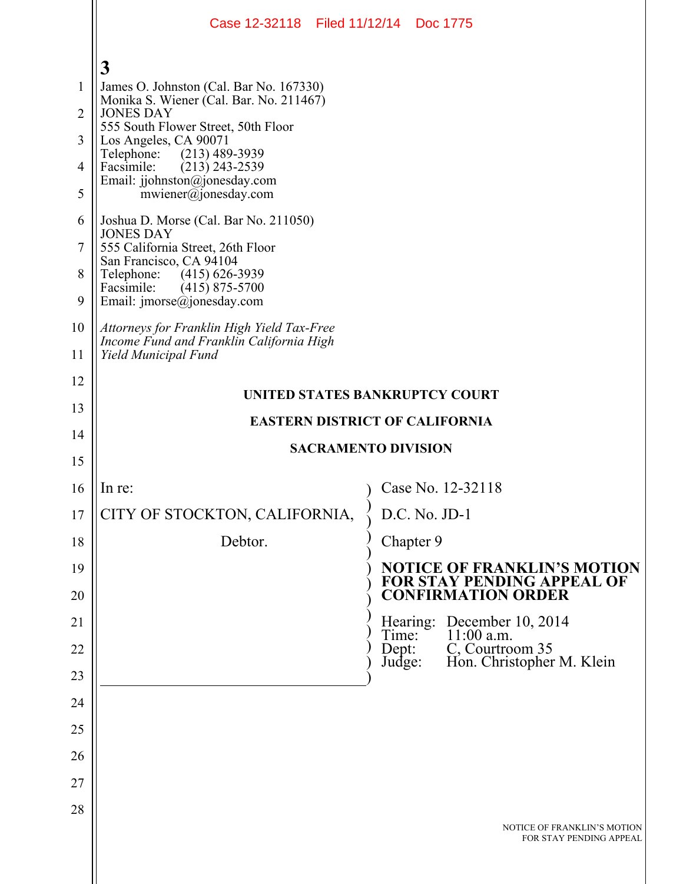|                | Case 12-32118 Filed 11/12/14 Doc 1775                                                     |                                                                   |  |  |  |  |  |  |  |
|----------------|-------------------------------------------------------------------------------------------|-------------------------------------------------------------------|--|--|--|--|--|--|--|
|                | 3                                                                                         |                                                                   |  |  |  |  |  |  |  |
| 1              | James O. Johnston (Cal. Bar No. 167330)                                                   |                                                                   |  |  |  |  |  |  |  |
| $\overline{2}$ | Monika S. Wiener (Cal. Bar. No. 211467)<br><b>JONES DAY</b>                               |                                                                   |  |  |  |  |  |  |  |
| 3              | 555 South Flower Street, 50th Floor<br>Los Angeles, CA 90071                              |                                                                   |  |  |  |  |  |  |  |
| 4              | Telephone:<br>(213) 489-3939<br>Facsimile:<br>$(213)$ 243-2539                            |                                                                   |  |  |  |  |  |  |  |
| 5              | Email: jjohnston@jonesday.com<br>mwiener@jonesday.com                                     |                                                                   |  |  |  |  |  |  |  |
| 6              | Joshua D. Morse (Cal. Bar No. 211050)<br><b>JONES DAY</b>                                 |                                                                   |  |  |  |  |  |  |  |
| 7              | 555 California Street, 26th Floor<br>San Francisco, CA 94104                              |                                                                   |  |  |  |  |  |  |  |
| 8<br>9         | Telephone: (415) 626-3939<br>Facsimile:<br>$(415)$ 875-5700<br>Email: jmorse@jonesday.com |                                                                   |  |  |  |  |  |  |  |
| 10             | Attorneys for Franklin High Yield Tax-Free<br>Income Fund and Franklin California High    |                                                                   |  |  |  |  |  |  |  |
| 11             | Yield Municipal Fund                                                                      |                                                                   |  |  |  |  |  |  |  |
| 12             |                                                                                           |                                                                   |  |  |  |  |  |  |  |
| 13             | UNITED STATES BANKRUPTCY COURT<br><b>EASTERN DISTRICT OF CALIFORNIA</b>                   |                                                                   |  |  |  |  |  |  |  |
| 14             |                                                                                           | <b>SACRAMENTO DIVISION</b>                                        |  |  |  |  |  |  |  |
| 15             |                                                                                           |                                                                   |  |  |  |  |  |  |  |
| 16             | In re:                                                                                    | Case No. 12-32118                                                 |  |  |  |  |  |  |  |
| 17             | CITY OF STOCKTON, CALIFORNIA,                                                             | D.C. No. JD-1                                                     |  |  |  |  |  |  |  |
| 18             | Debtor.                                                                                   | Chapter 9                                                         |  |  |  |  |  |  |  |
| 19             |                                                                                           | <b>NOTICE OF FRANKLIN'S MOTION<br/>FOR STAY PENDING APPEAL OF</b> |  |  |  |  |  |  |  |
| 20             |                                                                                           | <b>CONFIRMATION ORDER</b>                                         |  |  |  |  |  |  |  |
| 21             |                                                                                           | Hearing: December 10, 2014<br>$11:00$ a.m.<br>Time:               |  |  |  |  |  |  |  |
| 22             |                                                                                           | C, Courtroom 35<br>Dept:<br>Hon. Christopher M. Klein<br>Judge:   |  |  |  |  |  |  |  |
| 23             |                                                                                           |                                                                   |  |  |  |  |  |  |  |
| 24             |                                                                                           |                                                                   |  |  |  |  |  |  |  |
| 25             |                                                                                           |                                                                   |  |  |  |  |  |  |  |
| 26             |                                                                                           |                                                                   |  |  |  |  |  |  |  |
| 27             |                                                                                           |                                                                   |  |  |  |  |  |  |  |
| 28             |                                                                                           | NOTICE OF FRANKLIN'S MOTION<br>FOR STAY PENDING APPEAL            |  |  |  |  |  |  |  |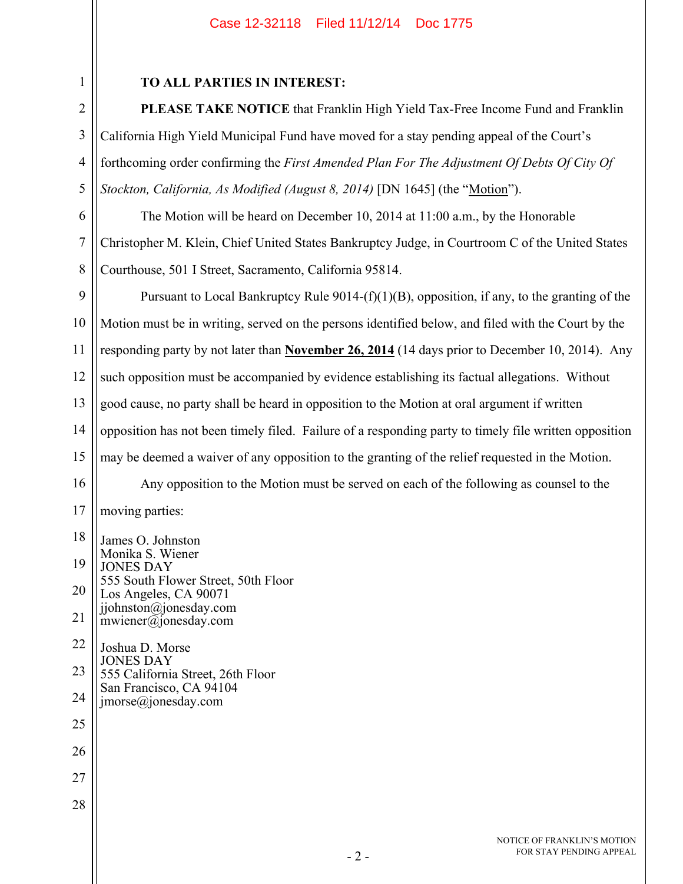## Case 12-32118 Filed 11/12/14 Doc 1775

## **TO ALL PARTIES IN INTEREST:**

1

2

3

4

5

**PLEASE TAKE NOTICE** that Franklin High Yield Tax-Free Income Fund and Franklin California High Yield Municipal Fund have moved for a stay pending appeal of the Court's forthcoming order confirming the *First Amended Plan For The Adjustment Of Debts Of City Of Stockton, California, As Modified (August 8, 2014)* [DN 1645] (the "Motion").

6 7 8 The Motion will be heard on December 10, 2014 at 11:00 a.m., by the Honorable Christopher M. Klein, Chief United States Bankruptcy Judge, in Courtroom C of the United States Courthouse, 501 I Street, Sacramento, California 95814.

9 10 11 12 13 14 15 16 17 18 19 20 21 22 23 24 25 26 27 28 Pursuant to Local Bankruptcy Rule  $9014-(f)(1)(B)$ , opposition, if any, to the granting of the Motion must be in writing, served on the persons identified below, and filed with the Court by the responding party by not later than **November 26, 2014** (14 days prior to December 10, 2014). Any such opposition must be accompanied by evidence establishing its factual allegations. Without good cause, no party shall be heard in opposition to the Motion at oral argument if written opposition has not been timely filed. Failure of a responding party to timely file written opposition may be deemed a waiver of any opposition to the granting of the relief requested in the Motion. Any opposition to the Motion must be served on each of the following as counsel to the moving parties: James O. Johnston Monika S. Wiener JONES DAY 555 South Flower Street, 50th Floor Los Angeles, CA 90071 jjohnston@jonesday.com mwiener@jonesday.com Joshua D. Morse JONES DAY 555 California Street, 26th Floor San Francisco, CA 94104 jmorse@jonesday.com